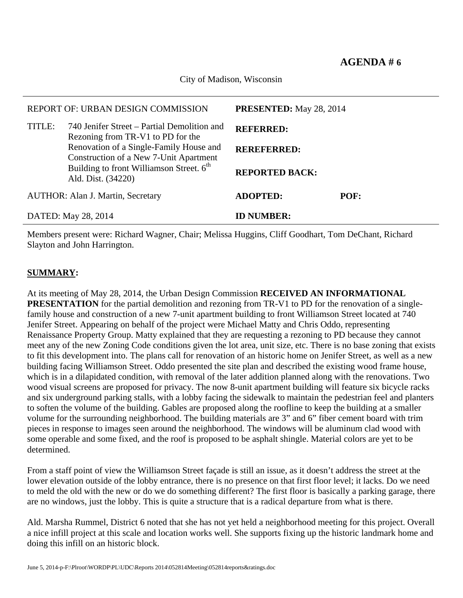City of Madison, Wisconsin

|                                          | REPORT OF: URBAN DESIGN COMMISSION                                                                                                                              | <b>PRESENTED:</b> May 28, 2014 |      |  |  |
|------------------------------------------|-----------------------------------------------------------------------------------------------------------------------------------------------------------------|--------------------------------|------|--|--|
| TITLE:                                   | 740 Jenifer Street – Partial Demolition and<br>Rezoning from TR-V1 to PD for the                                                                                | <b>REFERRED:</b>               |      |  |  |
|                                          | Renovation of a Single-Family House and<br>Construction of a New 7-Unit Apartment<br>Building to front Williamson Street. 6 <sup>th</sup><br>Ald. Dist. (34220) | <b>REREFERRED:</b>             |      |  |  |
|                                          |                                                                                                                                                                 | <b>REPORTED BACK:</b>          |      |  |  |
| <b>AUTHOR: Alan J. Martin, Secretary</b> |                                                                                                                                                                 | <b>ADOPTED:</b>                | POF: |  |  |
| DATED: May 28, 2014                      |                                                                                                                                                                 | <b>ID NUMBER:</b>              |      |  |  |

Members present were: Richard Wagner, Chair; Melissa Huggins, Cliff Goodhart, Tom DeChant, Richard Slayton and John Harrington.

## **SUMMARY:**

At its meeting of May 28, 2014, the Urban Design Commission **RECEIVED AN INFORMATIONAL PRESENTATION** for the partial demolition and rezoning from TR-V1 to PD for the renovation of a singlefamily house and construction of a new 7-unit apartment building to front Williamson Street located at 740 Jenifer Street. Appearing on behalf of the project were Michael Matty and Chris Oddo, representing Renaissance Property Group. Matty explained that they are requesting a rezoning to PD because they cannot meet any of the new Zoning Code conditions given the lot area, unit size, etc. There is no base zoning that exists to fit this development into. The plans call for renovation of an historic home on Jenifer Street, as well as a new building facing Williamson Street. Oddo presented the site plan and described the existing wood frame house, which is in a dilapidated condition, with removal of the later addition planned along with the renovations. Two wood visual screens are proposed for privacy. The now 8-unit apartment building will feature six bicycle racks and six underground parking stalls, with a lobby facing the sidewalk to maintain the pedestrian feel and planters to soften the volume of the building. Gables are proposed along the roofline to keep the building at a smaller volume for the surrounding neighborhood. The building materials are 3" and 6" fiber cement board with trim pieces in response to images seen around the neighborhood. The windows will be aluminum clad wood with some operable and some fixed, and the roof is proposed to be asphalt shingle. Material colors are yet to be determined.

From a staff point of view the Williamson Street façade is still an issue, as it doesn't address the street at the lower elevation outside of the lobby entrance, there is no presence on that first floor level; it lacks. Do we need to meld the old with the new or do we do something different? The first floor is basically a parking garage, there are no windows, just the lobby. This is quite a structure that is a radical departure from what is there.

Ald. Marsha Rummel, District 6 noted that she has not yet held a neighborhood meeting for this project. Overall a nice infill project at this scale and location works well. She supports fixing up the historic landmark home and doing this infill on an historic block.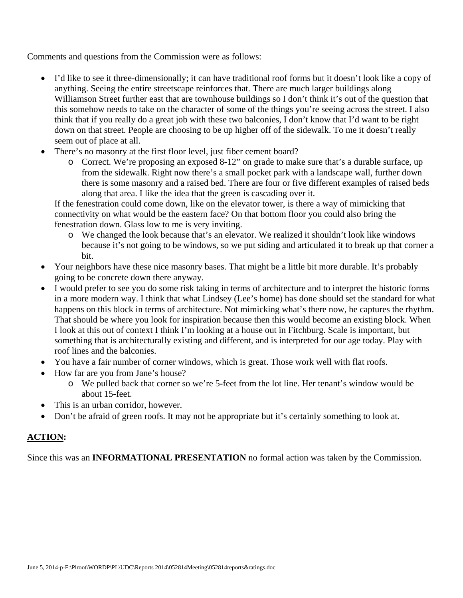Comments and questions from the Commission were as follows:

- I'd like to see it three-dimensionally; it can have traditional roof forms but it doesn't look like a copy of anything. Seeing the entire streetscape reinforces that. There are much larger buildings along Williamson Street further east that are townhouse buildings so I don't think it's out of the question that this somehow needs to take on the character of some of the things you're seeing across the street. I also think that if you really do a great job with these two balconies, I don't know that I'd want to be right down on that street. People are choosing to be up higher off of the sidewalk. To me it doesn't really seem out of place at all.
- There's no masonry at the first floor level, just fiber cement board?
	- o Correct. We're proposing an exposed 8-12" on grade to make sure that's a durable surface, up from the sidewalk. Right now there's a small pocket park with a landscape wall, further down there is some masonry and a raised bed. There are four or five different examples of raised beds along that area. I like the idea that the green is cascading over it.

If the fenestration could come down, like on the elevator tower, is there a way of mimicking that connectivity on what would be the eastern face? On that bottom floor you could also bring the fenestration down. Glass low to me is very inviting.

- o We changed the look because that's an elevator. We realized it shouldn't look like windows because it's not going to be windows, so we put siding and articulated it to break up that corner a bit.
- Your neighbors have these nice masonry bases. That might be a little bit more durable. It's probably going to be concrete down there anyway.
- I would prefer to see you do some risk taking in terms of architecture and to interpret the historic forms in a more modern way. I think that what Lindsey (Lee's home) has done should set the standard for what happens on this block in terms of architecture. Not mimicking what's there now, he captures the rhythm. That should be where you look for inspiration because then this would become an existing block. When I look at this out of context I think I'm looking at a house out in Fitchburg. Scale is important, but something that is architecturally existing and different, and is interpreted for our age today. Play with roof lines and the balconies.
- You have a fair number of corner windows, which is great. Those work well with flat roofs.
- How far are you from Jane's house?
	- o We pulled back that corner so we're 5-feet from the lot line. Her tenant's window would be about 15-feet.
- This is an urban corridor, however.
- Don't be afraid of green roofs. It may not be appropriate but it's certainly something to look at.

## **ACTION:**

Since this was an **INFORMATIONAL PRESENTATION** no formal action was taken by the Commission.